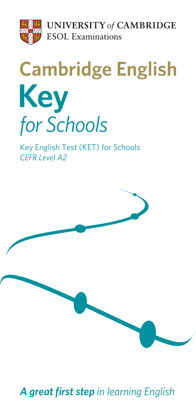

**UNIVERSITY of CAMBRIDGE ESOL** Examinations

# **Cambridge English Key** for Schools

Key English Test (KET) for Schools **CEFR Level A2** 



*A great first step in learning English*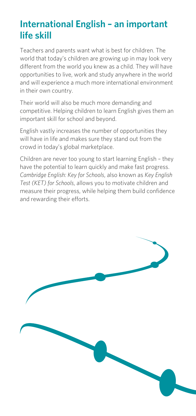## **International English – an important life skill**

Teachers and parents want what is best for children. The world that today's children are growing up in may look very different from the world you knew as a child. They will have opportunities to live, work and study anywhere in the world and will experience a much more international environment in their own country.

Their world will also be much more demanding and competitive. Helping children to learn English gives them an important skill for school and beyond.

English vastly increases the number of opportunities they will have in life and makes sure they stand out from the crowd in today's global marketplace.

Children are never too young to start learning English – they have the potential to learn quickly and make fast progress. *Cambridge English: Key for Schools*, also known as *Key English Test (KET) for Schools*, allows you to motivate children and measure their progress, while helping them build confidence and rewarding their efforts.

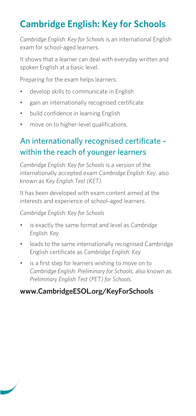## **Cambridge English: Key for Schools**

*Cambridge English: Key for Schools* is an international English exam for school-aged learners.

It shows that a learner can deal with everyday written and spoken English at a basic level.

Preparing for the exam helps learners:

- develop skills to communicate in English
- gain an internationally recognised certificate
- build confidence in learning English
- move on to higher-level qualifications.

## An internationally recognised certificate – within the reach of younger learners

*Cambridge English: Key for Schools* is a version of the internationally accepted exam *Cambridge English: Key*, also known as *Key English Test (KET)*.

It has been developed with exam content aimed at the interests and experience of school-aged learners.

#### *Cambridge English: Key for Schools*

- **•** is exactly the same format and level as Cambridge *English: Key*
- leads to the same internationally recognised Cambridge English certificate as *Cambridge English: Key*
- is a first step for learners wishing to move on to *Cambridge English: Preliminary for Schools*, also known as *Preliminary English Test (PET) for Schools*.

#### **www.CambridgeESOL.org/KeyForSchools**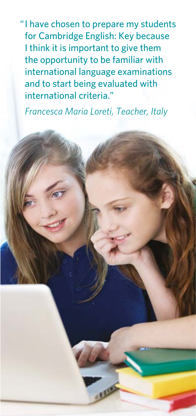"I have chosen to prepare my students for Cambridge English: Key because I think it is important to give them the opportunity to be familiar with international language examinations and to start being evaluated with international criteria."

 *Francesca Maria Loreti, Teacher, Italy*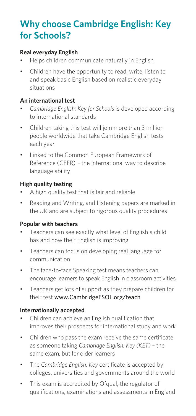## **Why choose Cambridge English: Key for Schools?**

#### **Real everyday English**

- Helps children communicate naturally in English
- Children have the opportunity to read, write, listen to and speak basic English based on realistic everyday situations

#### **An international test**

- Cambridge English: Key for Schools is developed according to international standards
- Children taking this test will join more than 3 million people worldwide that take Cambridge English tests each year
- Linked to the Common European Framework of  $Reference (CEFR) - the international way to describe$ language ability

#### **High quality testing**

- A high quality test that is fair and reliable
- Reading and Writing, and Listening papers are marked in the UK and are subiect to rigorous quality procedures

#### **Popular with teachers**

- Teachers can see exactly what level of English a child has and how their English is improving
- Teachers can focus on developing real language for communication
- The face-to-face Speaking test means teachers can encourage learners to speak English in classroom activities
- Teachers get lots of support as they prepare children for their test www.CambridgeESOL.org/teach

#### **Internationally accepted**

- Children can achieve an English qualification that improves their prospects for international study and work
- Children who pass the exam receive the same certificate as someone taking *Cambridge English: Key (KET)* – the same exam, but for older learners
- The Cambridge English: Key certificate is accepted by colleges, universities and governments around the world
- This exam is accredited by Ofgual, the regulator of qualifications, examinations and assessments in England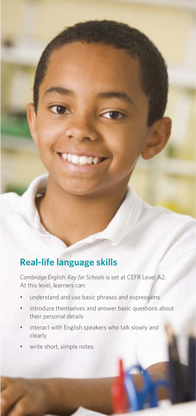## **Real-life language skills**

*Cambridge English: Key for Schools is set at CEFR Level A2.* At this level, learners can:

- understand and use basic phrases and expressions
- introduce themselves and answer basic questions about their personal details
- interact with English speakers who talk slowly and clearly
- write short, simple notes.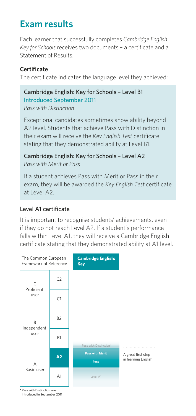## **Exam results**

Each learner that successfully completes *Cambridge English: Key for Schools* receives two documents – a certificate and a Statement of Results.

#### **Certificate**

The certificate indicates the language level they achieved:

#### Cambridge English: Key for Schools – Level B1 Introduced September 2011 *Pass with Distinction*

Exceptional candidates sometimes show ability beyond A2 level. Students that achieve Pass with Distinction in their exam will receive the *Key English Test* certificate stating that they demonstrated ability at Level B1.

Cambridge English: Key for Schools – Level A2 *Pass with Merit or Pass*

If a student achieves Pass with Merit or Pass in their exam, they will be awarded the *Key English Test* certificate at Level A2.

#### Level A1 certificate

It is important to recognise students' achievements, even if they do not reach Level A2. If a student's performance falls within Level A1, they will receive a Cambridge English certificate stating that they demonstrated ability at A1 level.



\* Pass with Distinction was introduced in September 2011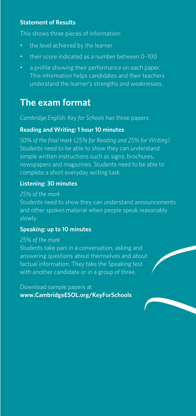#### **Statement of Results**

This shows three pieces of information:

- the level achieved by the learner
- their score indicated as a number between 0-100
- a profile showing their performance on each paper. This information helps candidates and their teachers understand the learner's strengths and weaknesses.

## **The exam format**

*Cambridge English: Key for Schools* has three papers:

#### **Reading and Writing: 1 hour 10 minutes**

*50% of the final mark (25% for Reading and 25% for Writing)*  Students need to be able to show they can understand simple written instructions such as signs, brochures, newspapers and magazines. Students need to be able to complete a short everyday writing task.

#### **Listening: 30 minutes**

#### *25% of the mark*

Students need to show they can understand announcements and other spoken material when people speak reasonably slowly.

#### **Speaking: up to 10 minutes**

#### *25% of the mark*

Students take part in a conversation, asking and answering questions about themselves and about factual information. They take the Speaking test with another candidate or in a group of three.

Download sample papers at **www.CambridgeESOL.org/KeyForSchools**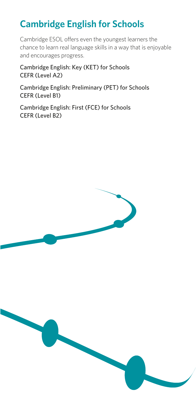## **Cambridge English for Schools**

Cambridge ESOL offers even the youngest learners the chance to learn real language skills in a way that is enjoyable and encourages progress.

Cambridge English: Key (KET) for Schools CEFR (Level A2)

Cambridge English: Preliminary (PET) for Schools CEFR (Level B1)

Cambridge English: First (FCE) for Schools CEFR (Level B2)

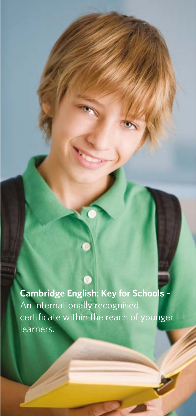**Cambridge English: Key for Schools –** An internationally recognised certificate within the reach of younger learners.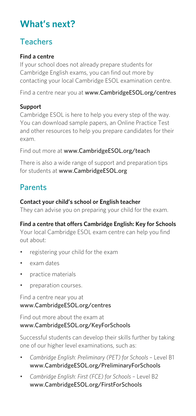## **What's next?**

## Teachers

#### **Find a centre**

If your school does not already prepare students for Cambridge English exams, you can find out more by contacting your local Cambridge ESOL examination centre.

Find a centre near you at www.CambridgeESOL.org/centres

#### **Support**

Cambridge ESOL is here to help you every step of the way. You can download sample papers, an Online Practice Test and other resources to help you prepare candidates for their exam.

Find out more at www.CambridgeESOL.org/teach

There is also a wide range of support and preparation tips for students at www.CambridgeESOL.org

### Parents

#### **Contact your child's school or English teacher**

They can advise you on preparing your child for the exam.

#### **Find a centre that offers Cambridge English: Key for Schools**

Your local Cambridge ESOL exam centre can help you find out about:

- registering your child for the exam
- exam dates
- practice materials
- preparation courses.

#### Find a centre near you at www.CambridgeESOL.org/centres

Find out more about the exam at www.CambridgeESOL.org/KeyForSchools

Successful students can develop their skills further by taking one of our higher level examinations, such as:

- Cambridge English: Preliminary (PET) for Schools Level B1 www.CambridgeESOL.org/PreliminaryForSchools
- **•** Cambridge English: First (FCE) for Schools Level B2 www.CambridgeESOL.org/FirstForSchools